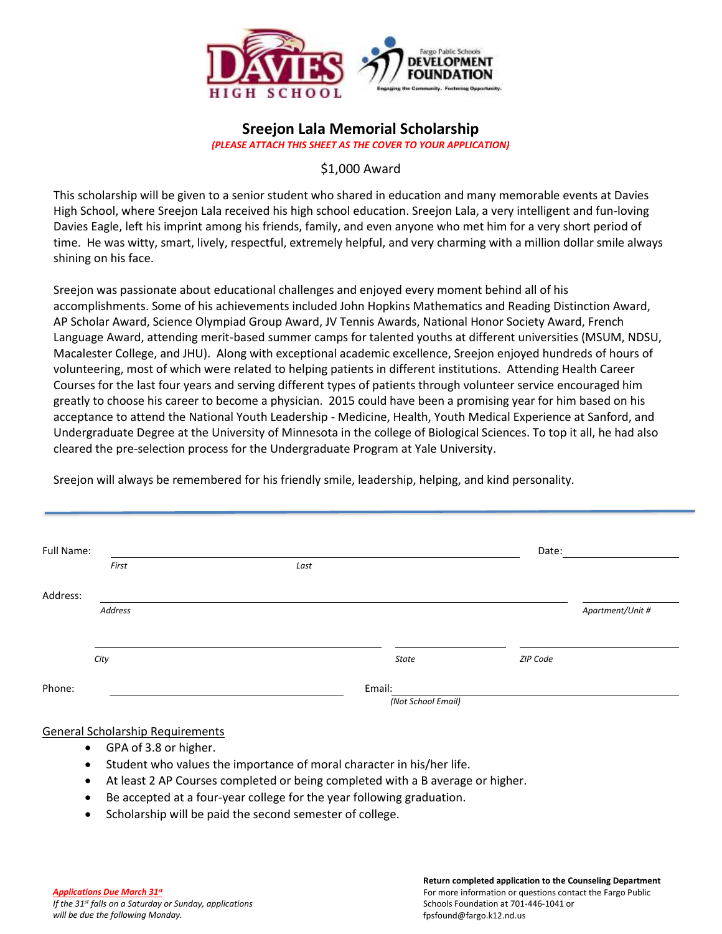

# **Sreejon Lala Memorial Scholarship**

*(PLEASE ATTACH THIS SHEET AS THE COVER TO YOUR APPLICATION)*

## \$1,000 Award

This scholarship will be given to a senior student who shared in education and many memorable events at Davies High School, where Sreejon Lala received his high school education. Sreejon Lala, a very intelligent and fun-loving Davies Eagle, left his imprint among his friends, family, and even anyone who met him for a very short period of time. He was witty, smart, lively, respectful, extremely helpful, and very charming with a million dollar smile always shining on his face.

Sreejon was passionate about educational challenges and enjoyed every moment behind all of his accomplishments. Some of his achievements included John Hopkins Mathematics and Reading Distinction Award, AP Scholar Award, Science Olympiad Group Award, JV Tennis Awards, National Honor Society Award, French Language Award, attending merit-based summer camps for talented youths at different universities (MSUM, NDSU, Macalester College, and JHU). Along with exceptional academic excellence, Sreejon enjoyed hundreds of hours of volunteering, most of which were related to helping patients in different institutions. Attending Health Career Courses for the last four years and serving different types of patients through volunteer service encouraged him greatly to choose his career to become a physician. 2015 could have been a promising year for him based on his acceptance to attend the National Youth Leadership - Medicine, Health, Youth Medical Experience at Sanford, and Undergraduate Degree at the University of Minnesota in the college of Biological Sciences. To top it all, he had also cleared the pre-selection process for the Undergraduate Program at Yale University.

| Full Name: |      |              | Date:    |                  |
|------------|------|--------------|----------|------------------|
| First      | Last |              |          |                  |
| Address:   |      |              |          |                  |
| Address    |      |              |          | Apartment/Unit # |
|            |      |              |          |                  |
| City       |      | <b>State</b> | ZIP Code |                  |

Sreejon will always be remembered for his friendly smile, leadership, helping, and kind personality*.*

#### General Scholarship Requirements

- GPA of 3.8 or higher.
- Student who values the importance of moral character in his/her life.
- At least 2 AP Courses completed or being completed with a B average or higher.
- Be accepted at a four-year college for the year following graduation.
- Scholarship will be paid the second semester of college.